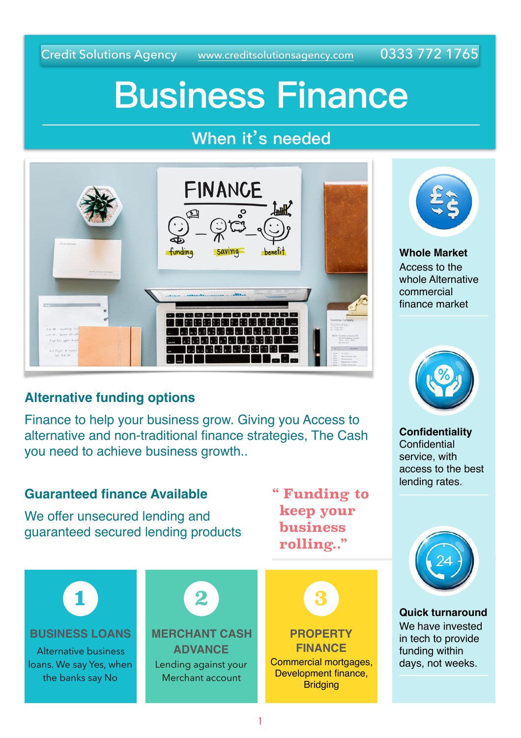Credit Solutions Agency [www.creditsolutionsagency.com](http://www.creditsolutionsagency.com) 0333 772 1765

# **Business Finance**

### **When it's needed**



### **Alternative funding options**

Finance to help your business grow. Giving you Access to alternative and non-traditional finance strategies, The Cash you need to achieve business growth..



**1**



**Whole Market** Access to the whole Alternative commercial finance market



**Confidentiality Confidential** service, with access to the best lending rates.